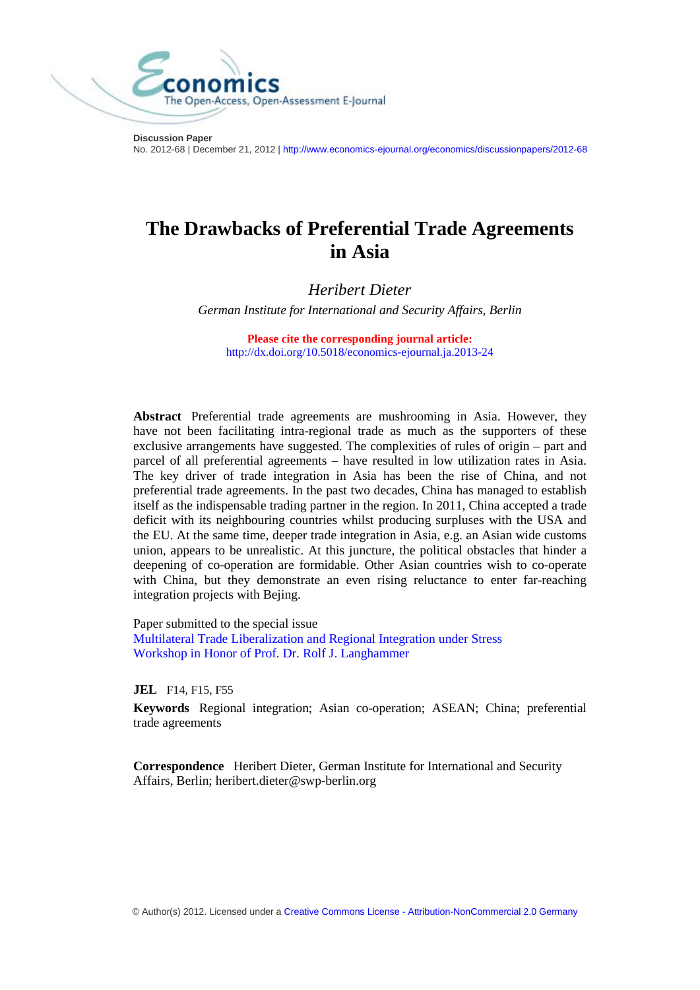

**Discussion Paper** No. 2012-68 | December 21, 2012 | <http://www.economics-ejournal.org/economics/discussionpapers/2012-68>

# **The Drawbacks of Preferential Trade Agreements in Asia**

#### *Heribert Dieter*

*German Institute for International and Security Affairs, Berlin*

**Please cite the corresponding journal article:** <http://dx.doi.org/10.5018/economics-ejournal.ja.2013-24>

**Abstract** Preferential trade agreements are mushrooming in Asia. However, they have not been facilitating intra-regional trade as much as the supporters of these exclusive arrangements have suggested. The complexities of rules of origin – part and parcel of all preferential agreements – have resulted in low utilization rates in Asia. The key driver of trade integration in Asia has been the rise of China, and not preferential trade agreements. In the past two decades, China has managed to establish itself as the indispensable trading partner in the region. In 2011, China accepted a trade deficit with its neighbouring countries whilst producing surpluses with the USA and the EU. At the same time, deeper trade integration in Asia, e.g. an Asian wide customs union, appears to be unrealistic. At this juncture, the political obstacles that hinder a deepening of co-operation are formidable. Other Asian countries wish to co-operate with China, but they demonstrate an even rising reluctance to enter far-reaching integration projects with Bejing.

Paper submitted to the special issue

[Multilateral Trade Liberalization and Regional Integration under Stress](http://www.economics-ejournal.org/special-areas/special-issues/multilateral-trade-liberalization-and-regional-integration-under-stress-2013-workshop-in-honor-of-prof.-dr.-rolf-j.-langhammer) [Workshop in Honor of Prof. Dr. Rolf J. Langhammer](http://www.economics-ejournal.org/special-areas/special-issues/multilateral-trade-liberalization-and-regional-integration-under-stress-2013-workshop-in-honor-of-prof.-dr.-rolf-j.-langhammer)

#### **JEL** F14, F15, F55

**Keywords** Regional integration; Asian co-operation; ASEAN; China; preferential trade agreements

**Correspondence** Heribert Dieter, German Institute for International and Security Affairs, Berlin; heribert.dieter@swp-berlin.org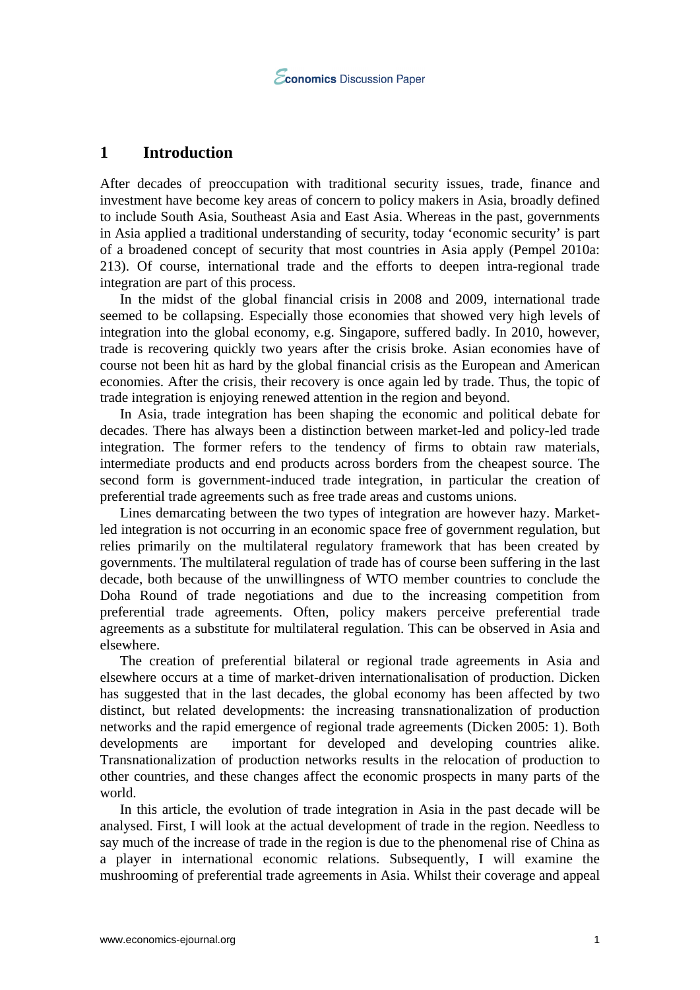#### **1 Introduction**

After decades of preoccupation with traditional security issues, trade, finance and investment have become key areas of concern to policy makers in Asia, broadly defined to include South Asia, Southeast Asia and East Asia. Whereas in the past, governments in Asia applied a traditional understanding of security, today 'economic security' is part of a broadened concept of security that most countries in Asia apply (Pempel 2010a: 213). Of course, international trade and the efforts to deepen intra-regional trade integration are part of this process.

In the midst of the global financial crisis in 2008 and 2009, international trade seemed to be collapsing. Especially those economies that showed very high levels of integration into the global economy, e.g. Singapore, suffered badly. In 2010, however, trade is recovering quickly two years after the crisis broke. Asian economies have of course not been hit as hard by the global financial crisis as the European and American economies. After the crisis, their recovery is once again led by trade. Thus, the topic of trade integration is enjoying renewed attention in the region and beyond.

In Asia, trade integration has been shaping the economic and political debate for decades. There has always been a distinction between market-led and policy-led trade integration. The former refers to the tendency of firms to obtain raw materials, intermediate products and end products across borders from the cheapest source. The second form is government-induced trade integration, in particular the creation of preferential trade agreements such as free trade areas and customs unions.

Lines demarcating between the two types of integration are however hazy. Marketled integration is not occurring in an economic space free of government regulation, but relies primarily on the multilateral regulatory framework that has been created by governments. The multilateral regulation of trade has of course been suffering in the last decade, both because of the unwillingness of WTO member countries to conclude the Doha Round of trade negotiations and due to the increasing competition from preferential trade agreements. Often, policy makers perceive preferential trade agreements as a substitute for multilateral regulation. This can be observed in Asia and elsewhere.

The creation of preferential bilateral or regional trade agreements in Asia and elsewhere occurs at a time of market-driven internationalisation of production. Dicken has suggested that in the last decades, the global economy has been affected by two distinct, but related developments: the increasing transnationalization of production networks and the rapid emergence of regional trade agreements (Dicken 2005: 1). Both developments are important for developed and developing countries alike. Transnationalization of production networks results in the relocation of production to other countries, and these changes affect the economic prospects in many parts of the world.

In this article, the evolution of trade integration in Asia in the past decade will be analysed. First, I will look at the actual development of trade in the region. Needless to say much of the increase of trade in the region is due to the phenomenal rise of China as a player in international economic relations. Subsequently, I will examine the mushrooming of preferential trade agreements in Asia. Whilst their coverage and appeal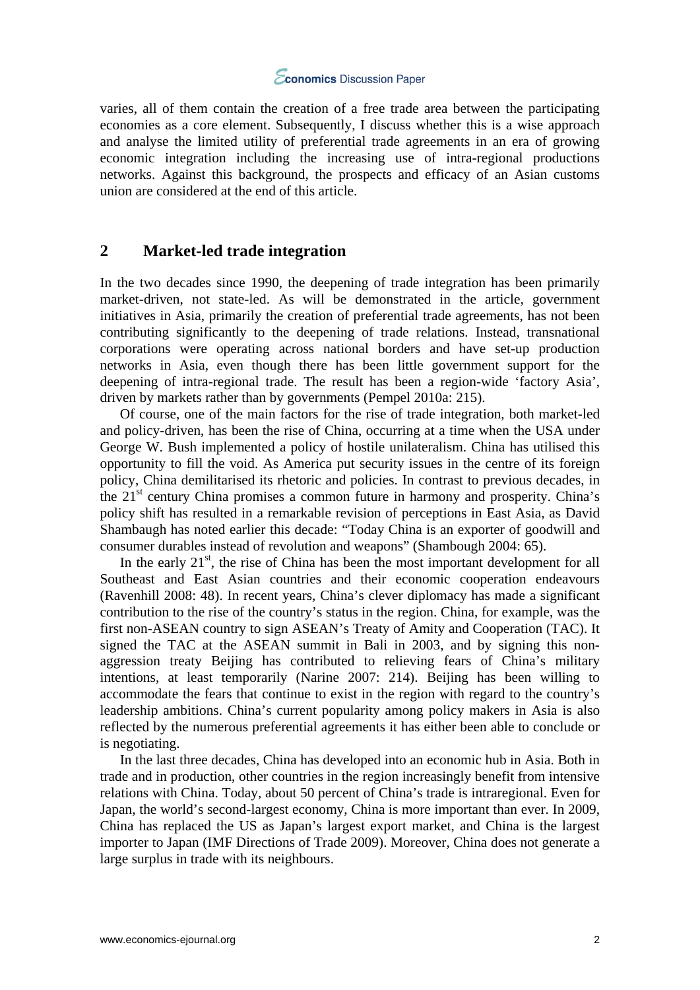*<u>Economics Discussion Paper</u>* 

varies, all of them contain the creation of a free trade area between the participating economies as a core element. Subsequently, I discuss whether this is a wise approach and analyse the limited utility of preferential trade agreements in an era of growing economic integration including the increasing use of intra-regional productions networks. Against this background, the prospects and efficacy of an Asian customs union are considered at the end of this article.

#### **2 Market-led trade integration**

In the two decades since 1990, the deepening of trade integration has been primarily market-driven, not state-led. As will be demonstrated in the article, government initiatives in Asia, primarily the creation of preferential trade agreements, has not been contributing significantly to the deepening of trade relations. Instead, transnational corporations were operating across national borders and have set-up production networks in Asia, even though there has been little government support for the deepening of intra-regional trade. The result has been a region-wide 'factory Asia', driven by markets rather than by governments (Pempel 2010a: 215).

Of course, one of the main factors for the rise of trade integration, both market-led and policy-driven, has been the rise of China, occurring at a time when the USA under George W. Bush implemented a policy of hostile unilateralism. China has utilised this opportunity to fill the void. As America put security issues in the centre of its foreign policy, China demilitarised its rhetoric and policies. In contrast to previous decades, in the 21st century China promises a common future in harmony and prosperity. China's policy shift has resulted in a remarkable revision of perceptions in East Asia, as David Shambaugh has noted earlier this decade: "Today China is an exporter of goodwill and consumer durables instead of revolution and weapons" (Shambough 2004: 65).

In the early  $21<sup>st</sup>$ , the rise of China has been the most important development for all Southeast and East Asian countries and their economic cooperation endeavours (Ravenhill 2008: 48). In recent years, China's clever diplomacy has made a significant contribution to the rise of the country's status in the region. China, for example, was the first non-ASEAN country to sign ASEAN's Treaty of Amity and Cooperation (TAC). It signed the TAC at the ASEAN summit in Bali in 2003, and by signing this nonaggression treaty Beijing has contributed to relieving fears of China's military intentions, at least temporarily (Narine 2007: 214). Beijing has been willing to accommodate the fears that continue to exist in the region with regard to the country's leadership ambitions. China's current popularity among policy makers in Asia is also reflected by the numerous preferential agreements it has either been able to conclude or is negotiating.

In the last three decades, China has developed into an economic hub in Asia. Both in trade and in production, other countries in the region increasingly benefit from intensive relations with China. Today, about 50 percent of China's trade is intraregional. Even for Japan, the world's second-largest economy, China is more important than ever. In 2009, China has replaced the US as Japan's largest export market, and China is the largest importer to Japan (IMF Directions of Trade 2009). Moreover, China does not generate a large surplus in trade with its neighbours.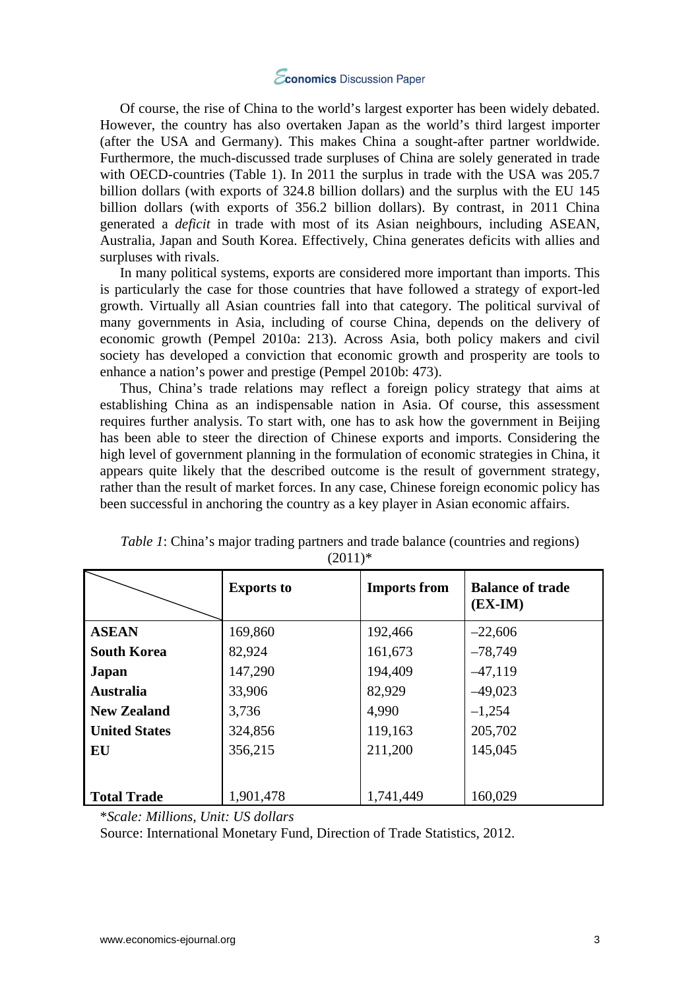

Of course, the rise of China to the world's largest exporter has been widely debated. However, the country has also overtaken Japan as the world's third largest importer (after the USA and Germany). This makes China a sought-after partner worldwide. Furthermore, the much-discussed trade surpluses of China are solely generated in trade with OECD-countries (Table 1). In 2011 the surplus in trade with the USA was 205.7 billion dollars (with exports of 324.8 billion dollars) and the surplus with the EU 145 billion dollars (with exports of 356.2 billion dollars). By contrast, in 2011 China generated a *deficit* in trade with most of its Asian neighbours, including ASEAN, Australia, Japan and South Korea. Effectively, China generates deficits with allies and surpluses with rivals.

In many political systems, exports are considered more important than imports. This is particularly the case for those countries that have followed a strategy of export-led growth. Virtually all Asian countries fall into that category. The political survival of many governments in Asia, including of course China, depends on the delivery of economic growth (Pempel 2010a: 213). Across Asia, both policy makers and civil society has developed a conviction that economic growth and prosperity are tools to enhance a nation's power and prestige (Pempel 2010b: 473).

Thus, China's trade relations may reflect a foreign policy strategy that aims at establishing China as an indispensable nation in Asia. Of course, this assessment requires further analysis. To start with, one has to ask how the government in Beijing has been able to steer the direction of Chinese exports and imports. Considering the high level of government planning in the formulation of economic strategies in China, it appears quite likely that the described outcome is the result of government strategy, rather than the result of market forces. In any case, Chinese foreign economic policy has been successful in anchoring the country as a key player in Asian economic affairs.

|                      | <b>Exports to</b> | <b>Imports from</b> | <b>Balance of trade</b><br>$(EX-IM)$ |
|----------------------|-------------------|---------------------|--------------------------------------|
| <b>ASEAN</b>         | 169,860           | 192,466             | $-22,606$                            |
| <b>South Korea</b>   | 82,924            | 161,673             | $-78,749$                            |
| Japan                | 147,290           | 194,409             | $-47,119$                            |
| <b>Australia</b>     | 33,906            | 82,929              | $-49,023$                            |
| <b>New Zealand</b>   | 3,736             | 4,990               | $-1,254$                             |
| <b>United States</b> | 324,856           | 119,163             | 205,702                              |
| EU                   | 356,215           | 211,200             | 145,045                              |
|                      |                   |                     |                                      |
| <b>Total Trade</b>   | 1,901,478         | 1,741,449           | 160,029                              |

*Table 1*: China's major trading partners and trade balance (countries and regions)  $(2011)*$ 

\**Scale: Millions, Unit: US dollars*

Source: International Monetary Fund, Direction of Trade Statistics, 2012.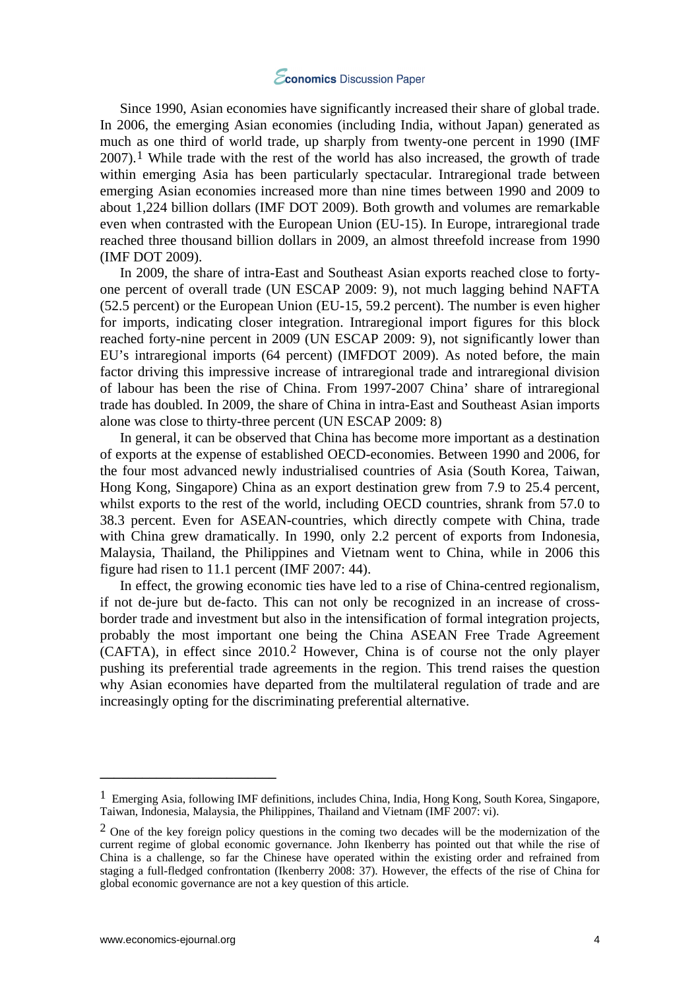

Since 1990, Asian economies have significantly increased their share of global trade. In 2006, the emerging Asian economies (including India, without Japan) generated as much as one third of world trade, up sharply from twenty-one percent in 1990 (IMF  $2007$ ).<sup>[1](#page-4-0)</sup> While trade with the rest of the world has also increased, the growth of trade within emerging Asia has been particularly spectacular. Intraregional trade between emerging Asian economies increased more than nine times between 1990 and 2009 to about 1,224 billion dollars (IMF DOT 2009). Both growth and volumes are remarkable even when contrasted with the European Union (EU-15). In Europe, intraregional trade reached three thousand billion dollars in 2009, an almost threefold increase from 1990 (IMF DOT 2009).

In 2009, the share of intra-East and Southeast Asian exports reached close to fortyone percent of overall trade (UN ESCAP 2009: 9), not much lagging behind NAFTA (52.5 percent) or the European Union (EU-15, 59.2 percent). The number is even higher for imports, indicating closer integration. Intraregional import figures for this block reached forty-nine percent in 2009 (UN ESCAP 2009: 9), not significantly lower than EU's intraregional imports (64 percent) (IMFDOT 2009). As noted before, the main factor driving this impressive increase of intraregional trade and intraregional division of labour has been the rise of China. From 1997-2007 China' share of intraregional trade has doubled. In 2009, the share of China in intra-East and Southeast Asian imports alone was close to thirty-three percent (UN ESCAP 2009: 8)

In general, it can be observed that China has become more important as a destination of exports at the expense of established OECD-economies. Between 1990 and 2006, for the four most advanced newly industrialised countries of Asia (South Korea, Taiwan, Hong Kong, Singapore) China as an export destination grew from 7.9 to 25.4 percent, whilst exports to the rest of the world, including OECD countries, shrank from 57.0 to 38.3 percent. Even for ASEAN-countries, which directly compete with China, trade with China grew dramatically. In 1990, only 2.2 percent of exports from Indonesia, Malaysia, Thailand, the Philippines and Vietnam went to China, while in 2006 this figure had risen to 11.1 percent (IMF 2007: 44).

In effect, the growing economic ties have led to a rise of China-centred regionalism, if not de-jure but de-facto. This can not only be recognized in an increase of crossborder trade and investment but also in the intensification of formal integration projects, probably the most important one being the China ASEAN Free Trade Agreement (CAFTA), in effect since 2010.[2](#page-4-1) However, China is of course not the only player pushing its preferential trade agreements in the region. This trend raises the question why Asian economies have departed from the multilateral regulation of trade and are increasingly opting for the discriminating preferential alternative.

<span id="page-4-0"></span> $<sup>1</sup>$  Emerging Asia, following IMF definitions, includes China, India, Hong Kong, South Korea, Singapore,</sup> Taiwan, Indonesia, Malaysia, the Philippines, Thailand and Vietnam (IMF 2007: vi).

<span id="page-4-1"></span><sup>&</sup>lt;sup>2</sup> One of the key foreign policy questions in the coming two decades will be the modernization of the current regime of global economic governance. John Ikenberry has pointed out that while the rise of China is a challenge, so far the Chinese have operated within the existing order and refrained from staging a full-fledged confrontation (Ikenberry 2008: 37). However, the effects of the rise of China for global economic governance are not a key question of this article.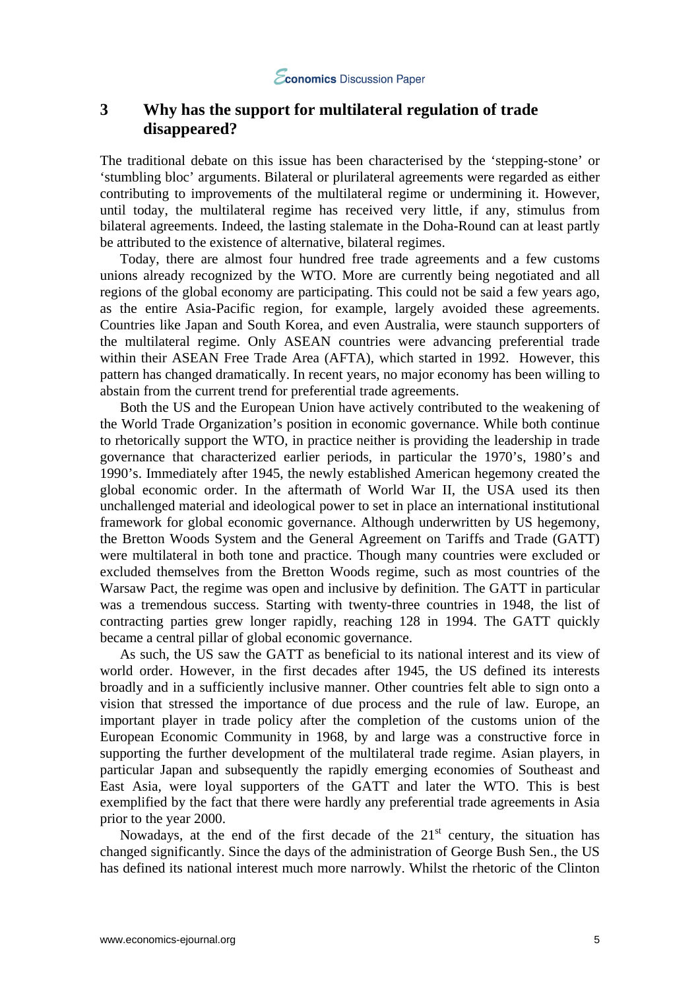#### **3 Why has the support for multilateral regulation of trade disappeared?**

The traditional debate on this issue has been characterised by the 'stepping-stone' or 'stumbling bloc' arguments. Bilateral or plurilateral agreements were regarded as either contributing to improvements of the multilateral regime or undermining it. However, until today, the multilateral regime has received very little, if any, stimulus from bilateral agreements. Indeed, the lasting stalemate in the Doha-Round can at least partly be attributed to the existence of alternative, bilateral regimes.

Today, there are almost four hundred free trade agreements and a few customs unions already recognized by the WTO. More are currently being negotiated and all regions of the global economy are participating. This could not be said a few years ago, as the entire Asia-Pacific region, for example, largely avoided these agreements. Countries like Japan and South Korea, and even Australia, were staunch supporters of the multilateral regime. Only ASEAN countries were advancing preferential trade within their ASEAN Free Trade Area (AFTA), which started in 1992. However, this pattern has changed dramatically. In recent years, no major economy has been willing to abstain from the current trend for preferential trade agreements.

Both the US and the European Union have actively contributed to the weakening of the World Trade Organization's position in economic governance. While both continue to rhetorically support the WTO, in practice neither is providing the leadership in trade governance that characterized earlier periods, in particular the 1970's, 1980's and 1990's. Immediately after 1945, the newly established American hegemony created the global economic order. In the aftermath of World War II, the USA used its then unchallenged material and ideological power to set in place an international institutional framework for global economic governance. Although underwritten by US hegemony, the Bretton Woods System and the General Agreement on Tariffs and Trade (GATT) were multilateral in both tone and practice. Though many countries were excluded or excluded themselves from the Bretton Woods regime, such as most countries of the Warsaw Pact, the regime was open and inclusive by definition. The GATT in particular was a tremendous success. Starting with twenty-three countries in 1948, the list of contracting parties grew longer rapidly, reaching 128 in 1994. The GATT quickly became a central pillar of global economic governance.

As such, the US saw the GATT as beneficial to its national interest and its view of world order. However, in the first decades after 1945, the US defined its interests broadly and in a sufficiently inclusive manner. Other countries felt able to sign onto a vision that stressed the importance of due process and the rule of law. Europe, an important player in trade policy after the completion of the customs union of the European Economic Community in 1968, by and large was a constructive force in supporting the further development of the multilateral trade regime. Asian players, in particular Japan and subsequently the rapidly emerging economies of Southeast and East Asia, were loyal supporters of the GATT and later the WTO. This is best exemplified by the fact that there were hardly any preferential trade agreements in Asia prior to the year 2000.

Nowadays, at the end of the first decade of the  $21<sup>st</sup>$  century, the situation has changed significantly. Since the days of the administration of George Bush Sen., the US has defined its national interest much more narrowly. Whilst the rhetoric of the Clinton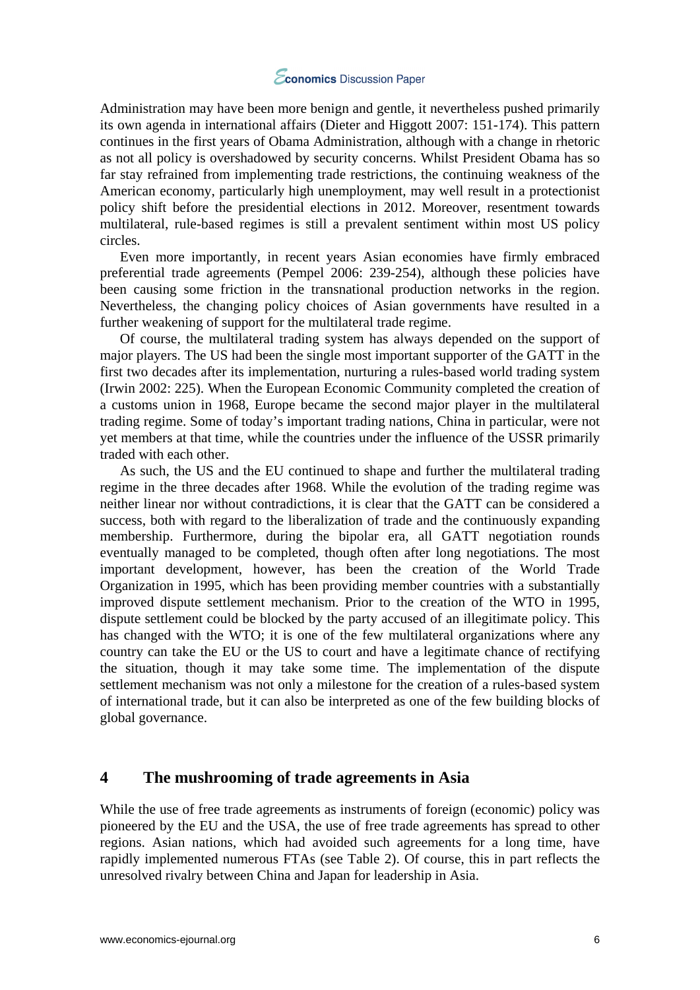

Administration may have been more benign and gentle, it nevertheless pushed primarily its own agenda in international affairs (Dieter and Higgott 2007: 151-174). This pattern continues in the first years of Obama Administration, although with a change in rhetoric as not all policy is overshadowed by security concerns. Whilst President Obama has so far stay refrained from implementing trade restrictions, the continuing weakness of the American economy, particularly high unemployment, may well result in a protectionist policy shift before the presidential elections in 2012. Moreover, resentment towards multilateral, rule-based regimes is still a prevalent sentiment within most US policy circles.

Even more importantly, in recent years Asian economies have firmly embraced preferential trade agreements (Pempel 2006: 239-254), although these policies have been causing some friction in the transnational production networks in the region. Nevertheless, the changing policy choices of Asian governments have resulted in a further weakening of support for the multilateral trade regime.

Of course, the multilateral trading system has always depended on the support of major players. The US had been the single most important supporter of the GATT in the first two decades after its implementation, nurturing a rules-based world trading system (Irwin 2002: 225). When the European Economic Community completed the creation of a customs union in 1968, Europe became the second major player in the multilateral trading regime. Some of today's important trading nations, China in particular, were not yet members at that time, while the countries under the influence of the USSR primarily traded with each other.

As such, the US and the EU continued to shape and further the multilateral trading regime in the three decades after 1968. While the evolution of the trading regime was neither linear nor without contradictions, it is clear that the GATT can be considered a success, both with regard to the liberalization of trade and the continuously expanding membership. Furthermore, during the bipolar era, all GATT negotiation rounds eventually managed to be completed, though often after long negotiations. The most important development, however, has been the creation of the World Trade Organization in 1995, which has been providing member countries with a substantially improved dispute settlement mechanism. Prior to the creation of the WTO in 1995, dispute settlement could be blocked by the party accused of an illegitimate policy. This has changed with the WTO; it is one of the few multilateral organizations where any country can take the EU or the US to court and have a legitimate chance of rectifying the situation, though it may take some time. The implementation of the dispute settlement mechanism was not only a milestone for the creation of a rules-based system of international trade, but it can also be interpreted as one of the few building blocks of global governance.

#### **4 The mushrooming of trade agreements in Asia**

While the use of free trade agreements as instruments of foreign (economic) policy was pioneered by the EU and the USA, the use of free trade agreements has spread to other regions. Asian nations, which had avoided such agreements for a long time, have rapidly implemented numerous FTAs (see Table 2). Of course, this in part reflects the unresolved rivalry between China and Japan for leadership in Asia.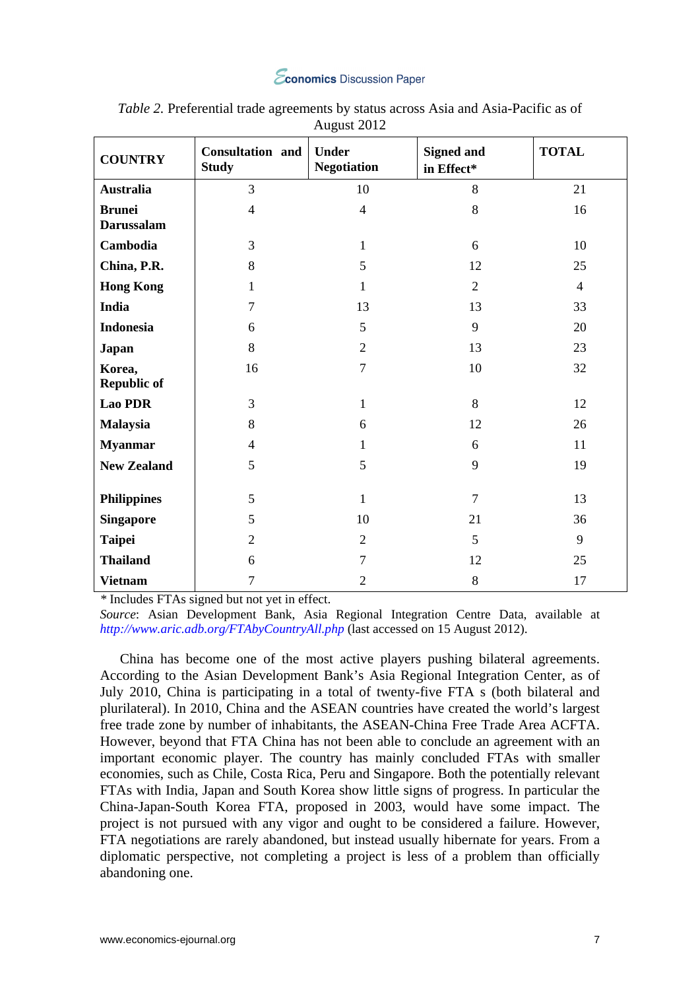

| <b>COUNTRY</b>                     | Consultation and<br><b>Study</b> | <b>Under</b><br><b>Negotiation</b> | <b>Signed and</b><br>in Effect* | <b>TOTAL</b>   |
|------------------------------------|----------------------------------|------------------------------------|---------------------------------|----------------|
| <b>Australia</b>                   | 3                                | 10                                 | 8                               | 21             |
| <b>Brunei</b><br><b>Darussalam</b> | $\overline{4}$                   | $\overline{4}$                     | 8                               | 16             |
| Cambodia                           | 3                                | $\mathbf{1}$                       | 6                               | 10             |
| China, P.R.                        | 8                                | 5                                  | 12                              | 25             |
| <b>Hong Kong</b>                   | $\mathbf{1}$                     | $\mathbf{1}$                       | 2                               | $\overline{4}$ |
| <b>India</b>                       | 7                                | 13                                 | 13                              | 33             |
| <b>Indonesia</b>                   | 6                                | 5                                  | 9                               | 20             |
| Japan                              | 8                                | $\overline{2}$                     | 13                              | 23             |
| Korea,<br><b>Republic of</b>       | 16                               | $\overline{7}$                     | 10                              | 32             |
| <b>Lao PDR</b>                     | 3                                | $\mathbf{1}$                       | 8                               | 12             |
| <b>Malaysia</b>                    | 8                                | 6                                  | 12                              | 26             |
| <b>Myanmar</b>                     | $\overline{4}$                   | 1                                  | 6                               | 11             |
| <b>New Zealand</b>                 | 5                                | 5                                  | 9                               | 19             |
| <b>Philippines</b>                 | 5                                | $\mathbf{1}$                       | $\overline{7}$                  | 13             |
| <b>Singapore</b>                   | 5                                | 10                                 | 21                              | 36             |
| <b>Taipei</b>                      | $\overline{2}$                   | $\overline{2}$                     | $5\overline{)}$                 | 9              |
| <b>Thailand</b>                    | 6                                | $\overline{7}$                     | 12                              | 25             |
| <b>Vietnam</b>                     | 7                                | $\overline{2}$                     | 8                               | 17             |

*Table 2.* Preferential trade agreements by status across Asia and Asia-Pacific as of August 2012

*\** Includes FTAs signed but not yet in effect.

*Source*: Asian Development Bank, Asia Regional Integration Centre Data, available at *<http://www.aric.adb.org/FTAbyCountryAll.php>* (last accessed on 15 August 2012).

China has become one of the most active players pushing bilateral agreements. According to the Asian Development Bank's Asia Regional Integration Center, as of July 2010, China is participating in a total of twenty-five FTA s (both bilateral and plurilateral). In 2010, China and the ASEAN countries have created the world's largest free trade zone by number of inhabitants, the ASEAN-China Free Trade Area ACFTA. However, beyond that FTA China has not been able to conclude an agreement with an important economic player. The country has mainly concluded FTAs with smaller economies, such as Chile, Costa Rica, Peru and Singapore. Both the potentially relevant FTAs with India, Japan and South Korea show little signs of progress. In particular the China-Japan-South Korea FTA, proposed in 2003, would have some impact. The project is not pursued with any vigor and ought to be considered a failure. However, FTA negotiations are rarely abandoned, but instead usually hibernate for years. From a diplomatic perspective, not completing a project is less of a problem than officially abandoning one.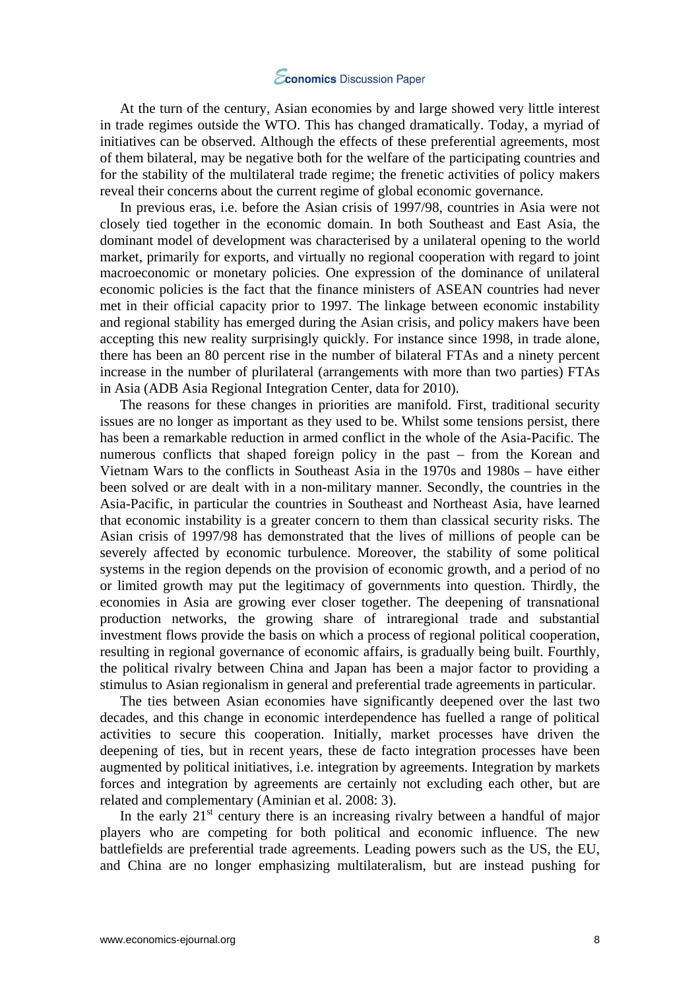At the turn of the century, Asian economies by and large showed very little interest in trade regimes outside the WTO. This has changed dramatically. Today, a myriad of initiatives can be observed. Although the effects of these preferential agreements, most of them bilateral, may be negative both for the welfare of the participating countries and for the stability of the multilateral trade regime; the frenetic activities of policy makers reveal their concerns about the current regime of global economic governance.

In previous eras, i.e. before the Asian crisis of 1997/98, countries in Asia were not closely tied together in the economic domain. In both Southeast and East Asia, the dominant model of development was characterised by a unilateral opening to the world market, primarily for exports, and virtually no regional cooperation with regard to joint macroeconomic or monetary policies. One expression of the dominance of unilateral economic policies is the fact that the finance ministers of ASEAN countries had never met in their official capacity prior to 1997. The linkage between economic instability and regional stability has emerged during the Asian crisis, and policy makers have been accepting this new reality surprisingly quickly. For instance since 1998, in trade alone, there has been an 80 percent rise in the number of bilateral FTAs and a ninety percent increase in the number of plurilateral (arrangements with more than two parties) FTAs in Asia (ADB Asia Regional Integration Center, data for 2010).

The reasons for these changes in priorities are manifold. First, traditional security issues are no longer as important as they used to be. Whilst some tensions persist, there has been a remarkable reduction in armed conflict in the whole of the Asia-Pacific. The numerous conflicts that shaped foreign policy in the past – from the Korean and Vietnam Wars to the conflicts in Southeast Asia in the 1970s and 1980s – have either been solved or are dealt with in a non-military manner. Secondly, the countries in the Asia-Pacific, in particular the countries in Southeast and Northeast Asia, have learned that economic instability is a greater concern to them than classical security risks. The Asian crisis of 1997/98 has demonstrated that the lives of millions of people can be severely affected by economic turbulence. Moreover, the stability of some political systems in the region depends on the provision of economic growth, and a period of no or limited growth may put the legitimacy of governments into question. Thirdly, the economies in Asia are growing ever closer together. The deepening of transnational production networks, the growing share of intraregional trade and substantial investment flows provide the basis on which a process of regional political cooperation, resulting in regional governance of economic affairs, is gradually being built. Fourthly, the political rivalry between China and Japan has been a major factor to providing a stimulus to Asian regionalism in general and preferential trade agreements in particular.

The ties between Asian economies have significantly deepened over the last two decades, and this change in economic interdependence has fuelled a range of political activities to secure this cooperation. Initially, market processes have driven the deepening of ties, but in recent years, these de facto integration processes have been augmented by political initiatives, i.e. integration by agreements. Integration by markets forces and integration by agreements are certainly not excluding each other, but are related and complementary (Aminian et al. 2008: 3).

In the early  $21<sup>st</sup>$  century there is an increasing rivalry between a handful of major players who are competing for both political and economic influence. The new battlefields are preferential trade agreements. Leading powers such as the US, the EU, and China are no longer emphasizing multilateralism, but are instead pushing for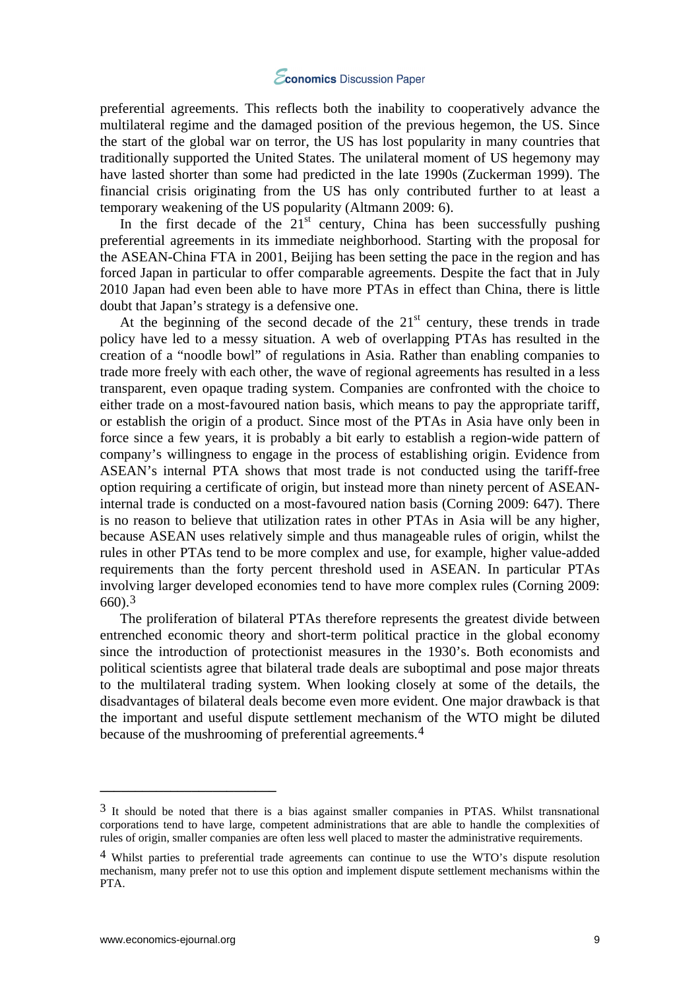

preferential agreements. This reflects both the inability to cooperatively advance the multilateral regime and the damaged position of the previous hegemon, the US. Since the start of the global war on terror, the US has lost popularity in many countries that traditionally supported the United States. The unilateral moment of US hegemony may have lasted shorter than some had predicted in the late 1990s (Zuckerman 1999). The financial crisis originating from the US has only contributed further to at least a temporary weakening of the US popularity (Altmann 2009: 6).

In the first decade of the  $21<sup>st</sup>$  century, China has been successfully pushing preferential agreements in its immediate neighborhood. Starting with the proposal for the ASEAN-China FTA in 2001, Beijing has been setting the pace in the region and has forced Japan in particular to offer comparable agreements. Despite the fact that in July 2010 Japan had even been able to have more PTAs in effect than China, there is little doubt that Japan's strategy is a defensive one.

At the beginning of the second decade of the  $21<sup>st</sup>$  century, these trends in trade policy have led to a messy situation. A web of overlapping PTAs has resulted in the creation of a "noodle bowl" of regulations in Asia. Rather than enabling companies to trade more freely with each other, the wave of regional agreements has resulted in a less transparent, even opaque trading system. Companies are confronted with the choice to either trade on a most-favoured nation basis, which means to pay the appropriate tariff, or establish the origin of a product. Since most of the PTAs in Asia have only been in force since a few years, it is probably a bit early to establish a region-wide pattern of company's willingness to engage in the process of establishing origin. Evidence from ASEAN's internal PTA shows that most trade is not conducted using the tariff-free option requiring a certificate of origin, but instead more than ninety percent of ASEANinternal trade is conducted on a most-favoured nation basis (Corning 2009: 647). There is no reason to believe that utilization rates in other PTAs in Asia will be any higher, because ASEAN uses relatively simple and thus manageable rules of origin, whilst the rules in other PTAs tend to be more complex and use, for example, higher value-added requirements than the forty percent threshold used in ASEAN. In particular PTAs involving larger developed economies tend to have more complex rules (Corning 2009: 660).[3](#page-9-0)

The proliferation of bilateral PTAs therefore represents the greatest divide between entrenched economic theory and short-term political practice in the global economy since the introduction of protectionist measures in the 1930's. Both economists and political scientists agree that bilateral trade deals are suboptimal and pose major threats to the multilateral trading system. When looking closely at some of the details, the disadvantages of bilateral deals become even more evident. One major drawback is that the important and useful dispute settlement mechanism of the WTO might be diluted because of the mushrooming of preferential agreements.<sup>[4](#page-9-1)</sup>

<span id="page-9-0"></span> $3$  It should be noted that there is a bias against smaller companies in PTAS. Whilst transnational corporations tend to have large, competent administrations that are able to handle the complexities of rules of origin, smaller companies are often less well placed to master the administrative requirements.

<span id="page-9-1"></span><sup>4</sup> Whilst parties to preferential trade agreements can continue to use the WTO's dispute resolution mechanism, many prefer not to use this option and implement dispute settlement mechanisms within the PTA.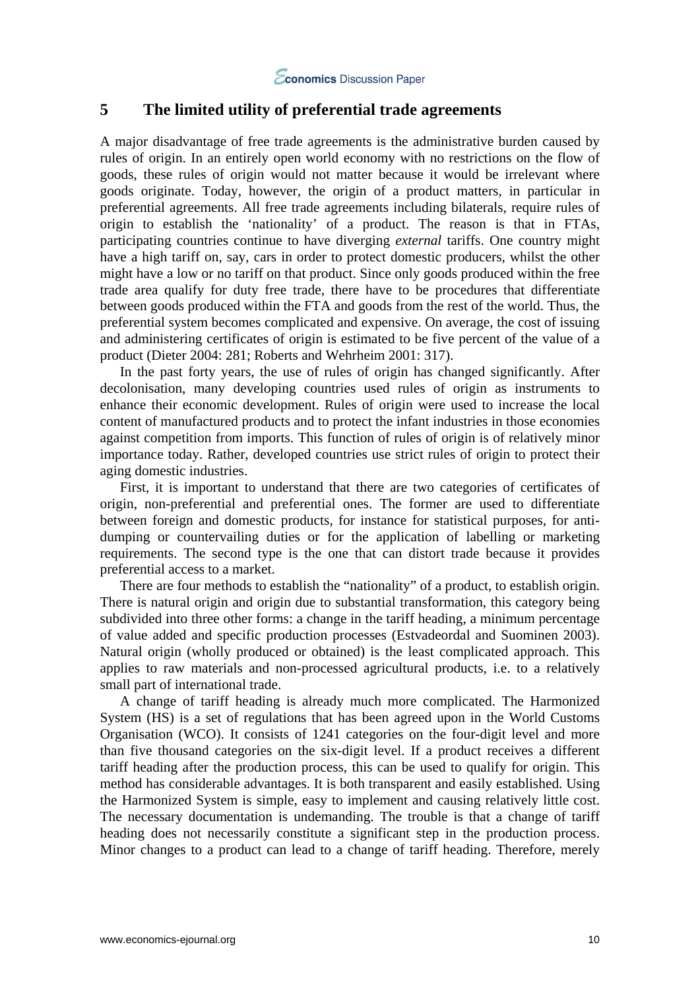#### **5 The limited utility of preferential trade agreements**

A major disadvantage of free trade agreements is the administrative burden caused by rules of origin. In an entirely open world economy with no restrictions on the flow of goods, these rules of origin would not matter because it would be irrelevant where goods originate. Today, however, the origin of a product matters, in particular in preferential agreements. All free trade agreements including bilaterals, require rules of origin to establish the 'nationality' of a product. The reason is that in FTAs, participating countries continue to have diverging *external* tariffs. One country might have a high tariff on, say, cars in order to protect domestic producers, whilst the other might have a low or no tariff on that product. Since only goods produced within the free trade area qualify for duty free trade, there have to be procedures that differentiate between goods produced within the FTA and goods from the rest of the world. Thus, the preferential system becomes complicated and expensive. On average, the cost of issuing and administering certificates of origin is estimated to be five percent of the value of a product (Dieter 2004: 281; Roberts and Wehrheim 2001: 317).

In the past forty years, the use of rules of origin has changed significantly. After decolonisation, many developing countries used rules of origin as instruments to enhance their economic development. Rules of origin were used to increase the local content of manufactured products and to protect the infant industries in those economies against competition from imports. This function of rules of origin is of relatively minor importance today. Rather, developed countries use strict rules of origin to protect their aging domestic industries.

First, it is important to understand that there are two categories of certificates of origin, non-preferential and preferential ones. The former are used to differentiate between foreign and domestic products, for instance for statistical purposes, for antidumping or countervailing duties or for the application of labelling or marketing requirements. The second type is the one that can distort trade because it provides preferential access to a market.

There are four methods to establish the "nationality" of a product, to establish origin. There is natural origin and origin due to substantial transformation, this category being subdivided into three other forms: a change in the tariff heading, a minimum percentage of value added and specific production processes (Estvadeordal and Suominen 2003). Natural origin (wholly produced or obtained) is the least complicated approach. This applies to raw materials and non-processed agricultural products, i.e. to a relatively small part of international trade.

A change of tariff heading is already much more complicated. The Harmonized System (HS) is a set of regulations that has been agreed upon in the World Customs Organisation (WCO). It consists of 1241 categories on the four-digit level and more than five thousand categories on the six-digit level. If a product receives a different tariff heading after the production process, this can be used to qualify for origin. This method has considerable advantages. It is both transparent and easily established. Using the Harmonized System is simple, easy to implement and causing relatively little cost. The necessary documentation is undemanding. The trouble is that a change of tariff heading does not necessarily constitute a significant step in the production process. Minor changes to a product can lead to a change of tariff heading. Therefore, merely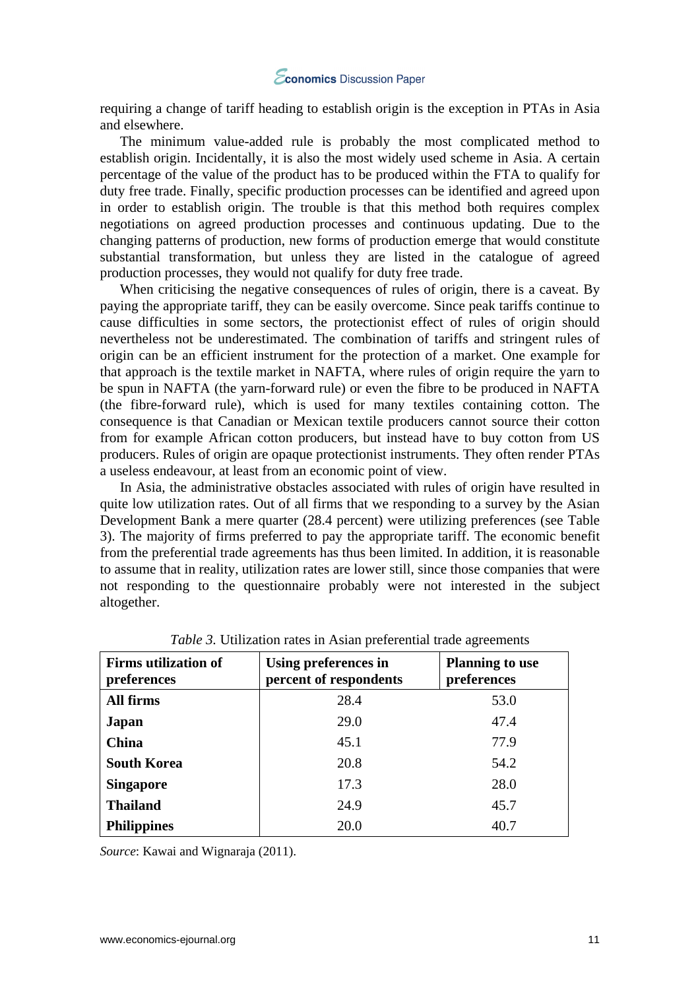

requiring a change of tariff heading to establish origin is the exception in PTAs in Asia and elsewhere.

The minimum value-added rule is probably the most complicated method to establish origin. Incidentally, it is also the most widely used scheme in Asia. A certain percentage of the value of the product has to be produced within the FTA to qualify for duty free trade. Finally, specific production processes can be identified and agreed upon in order to establish origin. The trouble is that this method both requires complex negotiations on agreed production processes and continuous updating. Due to the changing patterns of production, new forms of production emerge that would constitute substantial transformation, but unless they are listed in the catalogue of agreed production processes, they would not qualify for duty free trade.

When criticising the negative consequences of rules of origin, there is a caveat. By paying the appropriate tariff, they can be easily overcome. Since peak tariffs continue to cause difficulties in some sectors, the protectionist effect of rules of origin should nevertheless not be underestimated. The combination of tariffs and stringent rules of origin can be an efficient instrument for the protection of a market. One example for that approach is the textile market in NAFTA, where rules of origin require the yarn to be spun in NAFTA (the yarn-forward rule) or even the fibre to be produced in NAFTA (the fibre-forward rule), which is used for many textiles containing cotton. The consequence is that Canadian or Mexican textile producers cannot source their cotton from for example African cotton producers, but instead have to buy cotton from US producers. Rules of origin are opaque protectionist instruments. They often render PTAs a useless endeavour, at least from an economic point of view.

In Asia, the administrative obstacles associated with rules of origin have resulted in quite low utilization rates. Out of all firms that we responding to a survey by the Asian Development Bank a mere quarter (28.4 percent) were utilizing preferences (see Table 3). The majority of firms preferred to pay the appropriate tariff. The economic benefit from the preferential trade agreements has thus been limited. In addition, it is reasonable to assume that in reality, utilization rates are lower still, since those companies that were not responding to the questionnaire probably were not interested in the subject altogether.

| <b>Firms utilization of</b><br>preferences | Using preferences in<br>percent of respondents | <b>Planning to use</b><br>preferences |
|--------------------------------------------|------------------------------------------------|---------------------------------------|
| All firms                                  | 28.4                                           | 53.0                                  |
| Japan                                      | 29.0                                           | 47.4                                  |
| <b>China</b>                               | 45.1                                           | 77.9                                  |
| <b>South Korea</b>                         | 20.8                                           | 54.2                                  |
| <b>Singapore</b>                           | 17.3                                           | 28.0                                  |
| <b>Thailand</b>                            | 24.9                                           | 45.7                                  |
| <b>Philippines</b>                         | 20.0                                           | 40.7                                  |

*Table 3.* Utilization rates in Asian preferential trade agreements

*Source*: Kawai and Wignaraja (2011).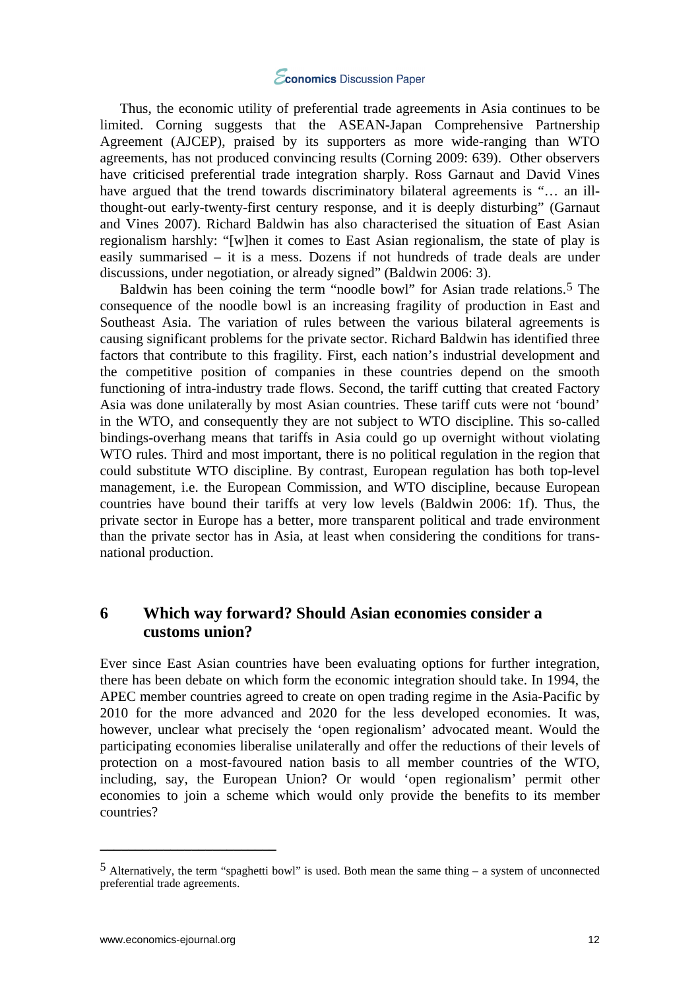

Thus, the economic utility of preferential trade agreements in Asia continues to be limited. Corning suggests that the ASEAN-Japan Comprehensive Partnership Agreement (AJCEP), praised by its supporters as more wide-ranging than WTO agreements, has not produced convincing results (Corning 2009: 639). Other observers have criticised preferential trade integration sharply. Ross Garnaut and David Vines have argued that the trend towards discriminatory bilateral agreements is "… an illthought-out early-twenty-first century response, and it is deeply disturbing" (Garnaut and Vines 2007). Richard Baldwin has also characterised the situation of East Asian regionalism harshly: "[w]hen it comes to East Asian regionalism, the state of play is easily summarised – it is a mess. Dozens if not hundreds of trade deals are under discussions, under negotiation, or already signed" (Baldwin 2006: 3).

Baldwin has been coining the term "noodle bowl" for Asian trade relations.<sup>[5](#page-12-0)</sup> The consequence of the noodle bowl is an increasing fragility of production in East and Southeast Asia. The variation of rules between the various bilateral agreements is causing significant problems for the private sector. Richard Baldwin has identified three factors that contribute to this fragility. First, each nation's industrial development and the competitive position of companies in these countries depend on the smooth functioning of intra-industry trade flows. Second, the tariff cutting that created Factory Asia was done unilaterally by most Asian countries. These tariff cuts were not 'bound' in the WTO, and consequently they are not subject to WTO discipline. This so-called bindings-overhang means that tariffs in Asia could go up overnight without violating WTO rules. Third and most important, there is no political regulation in the region that could substitute WTO discipline. By contrast, European regulation has both top-level management, i.e. the European Commission, and WTO discipline, because European countries have bound their tariffs at very low levels (Baldwin 2006: 1f). Thus, the private sector in Europe has a better, more transparent political and trade environment than the private sector has in Asia, at least when considering the conditions for transnational production.

### **6 Which way forward? Should Asian economies consider a customs union?**

Ever since East Asian countries have been evaluating options for further integration, there has been debate on which form the economic integration should take. In 1994, the APEC member countries agreed to create on open trading regime in the Asia-Pacific by 2010 for the more advanced and 2020 for the less developed economies. It was, however, unclear what precisely the 'open regionalism' advocated meant. Would the participating economies liberalise unilaterally and offer the reductions of their levels of protection on a most-favoured nation basis to all member countries of the WTO, including, say, the European Union? Or would 'open regionalism' permit other economies to join a scheme which would only provide the benefits to its member countries?

<span id="page-12-0"></span><sup>5</sup> Alternatively, the term "spaghetti bowl" is used. Both mean the same thing – a system of unconnected preferential trade agreements.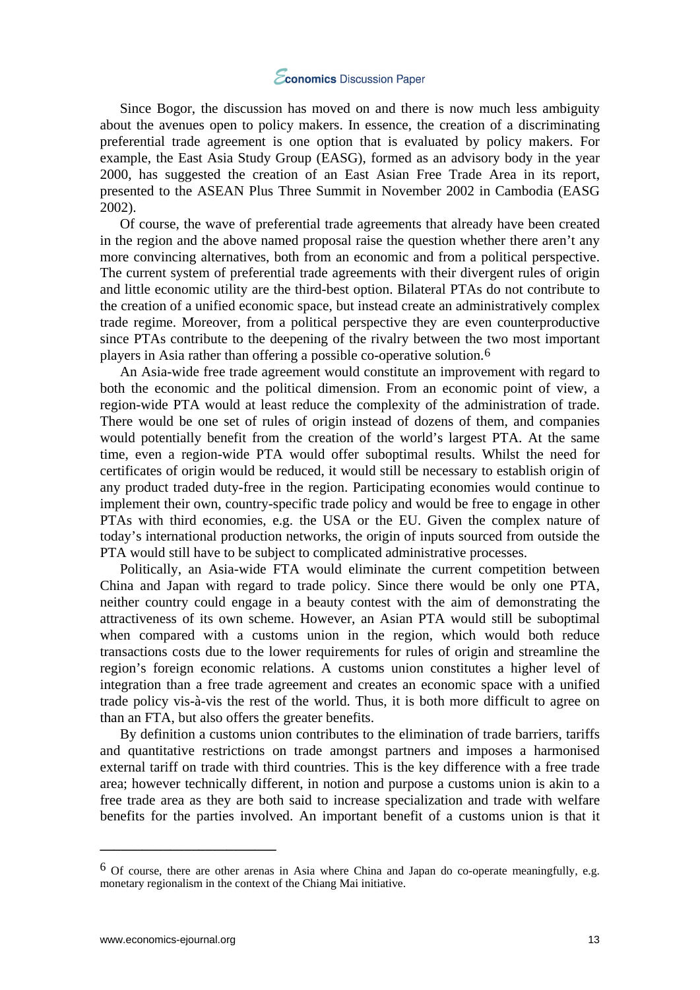

Since Bogor, the discussion has moved on and there is now much less ambiguity about the avenues open to policy makers. In essence, the creation of a discriminating preferential trade agreement is one option that is evaluated by policy makers. For example, the East Asia Study Group (EASG), formed as an advisory body in the year 2000, has suggested the creation of an East Asian Free Trade Area in its report, presented to the ASEAN Plus Three Summit in November 2002 in Cambodia (EASG 2002).

Of course, the wave of preferential trade agreements that already have been created in the region and the above named proposal raise the question whether there aren't any more convincing alternatives, both from an economic and from a political perspective. The current system of preferential trade agreements with their divergent rules of origin and little economic utility are the third-best option. Bilateral PTAs do not contribute to the creation of a unified economic space, but instead create an administratively complex trade regime. Moreover, from a political perspective they are even counterproductive since PTAs contribute to the deepening of the rivalry between the two most important players in Asia rather than offering a possible co-operative solution.[6](#page-13-0)

An Asia-wide free trade agreement would constitute an improvement with regard to both the economic and the political dimension. From an economic point of view, a region-wide PTA would at least reduce the complexity of the administration of trade. There would be one set of rules of origin instead of dozens of them, and companies would potentially benefit from the creation of the world's largest PTA. At the same time, even a region-wide PTA would offer suboptimal results. Whilst the need for certificates of origin would be reduced, it would still be necessary to establish origin of any product traded duty-free in the region. Participating economies would continue to implement their own, country-specific trade policy and would be free to engage in other PTAs with third economies, e.g. the USA or the EU. Given the complex nature of today's international production networks, the origin of inputs sourced from outside the PTA would still have to be subject to complicated administrative processes.

Politically, an Asia-wide FTA would eliminate the current competition between China and Japan with regard to trade policy. Since there would be only one PTA, neither country could engage in a beauty contest with the aim of demonstrating the attractiveness of its own scheme. However, an Asian PTA would still be suboptimal when compared with a customs union in the region, which would both reduce transactions costs due to the lower requirements for rules of origin and streamline the region's foreign economic relations. A customs union constitutes a higher level of integration than a free trade agreement and creates an economic space with a unified trade policy vis-à-vis the rest of the world. Thus, it is both more difficult to agree on than an FTA, but also offers the greater benefits.

By definition a customs union contributes to the elimination of trade barriers, tariffs and quantitative restrictions on trade amongst partners and imposes a harmonised external tariff on trade with third countries. This is the key difference with a free trade area; however technically different, in notion and purpose a customs union is akin to a free trade area as they are both said to increase specialization and trade with welfare benefits for the parties involved. An important benefit of a customs union is that it

<span id="page-13-0"></span><sup>6</sup> Of course, there are other arenas in Asia where China and Japan do co-operate meaningfully, e.g. monetary regionalism in the context of the Chiang Mai initiative.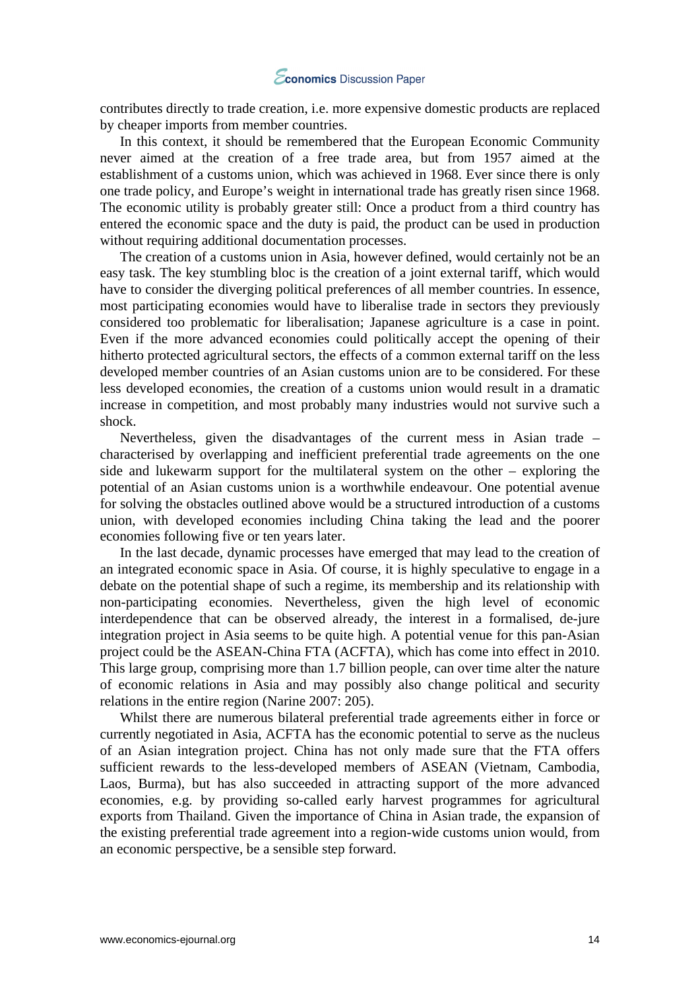## *<u>Economics Discussion Paper</u>*

contributes directly to trade creation, i.e. more expensive domestic products are replaced by cheaper imports from member countries.

In this context, it should be remembered that the European Economic Community never aimed at the creation of a free trade area, but from 1957 aimed at the establishment of a customs union, which was achieved in 1968. Ever since there is only one trade policy, and Europe's weight in international trade has greatly risen since 1968. The economic utility is probably greater still: Once a product from a third country has entered the economic space and the duty is paid, the product can be used in production without requiring additional documentation processes.

The creation of a customs union in Asia, however defined, would certainly not be an easy task. The key stumbling bloc is the creation of a joint external tariff, which would have to consider the diverging political preferences of all member countries. In essence, most participating economies would have to liberalise trade in sectors they previously considered too problematic for liberalisation; Japanese agriculture is a case in point. Even if the more advanced economies could politically accept the opening of their hitherto protected agricultural sectors, the effects of a common external tariff on the less developed member countries of an Asian customs union are to be considered. For these less developed economies, the creation of a customs union would result in a dramatic increase in competition, and most probably many industries would not survive such a shock.

Nevertheless, given the disadvantages of the current mess in Asian trade – characterised by overlapping and inefficient preferential trade agreements on the one side and lukewarm support for the multilateral system on the other – exploring the potential of an Asian customs union is a worthwhile endeavour. One potential avenue for solving the obstacles outlined above would be a structured introduction of a customs union, with developed economies including China taking the lead and the poorer economies following five or ten years later.

In the last decade, dynamic processes have emerged that may lead to the creation of an integrated economic space in Asia. Of course, it is highly speculative to engage in a debate on the potential shape of such a regime, its membership and its relationship with non-participating economies. Nevertheless, given the high level of economic interdependence that can be observed already, the interest in a formalised, de-jure integration project in Asia seems to be quite high. A potential venue for this pan-Asian project could be the ASEAN-China FTA (ACFTA), which has come into effect in 2010. This large group, comprising more than 1.7 billion people, can over time alter the nature of economic relations in Asia and may possibly also change political and security relations in the entire region (Narine 2007: 205).

Whilst there are numerous bilateral preferential trade agreements either in force or currently negotiated in Asia, ACFTA has the economic potential to serve as the nucleus of an Asian integration project. China has not only made sure that the FTA offers sufficient rewards to the less-developed members of ASEAN (Vietnam, Cambodia, Laos, Burma), but has also succeeded in attracting support of the more advanced economies, e.g. by providing so-called early harvest programmes for agricultural exports from Thailand. Given the importance of China in Asian trade, the expansion of the existing preferential trade agreement into a region-wide customs union would, from an economic perspective, be a sensible step forward.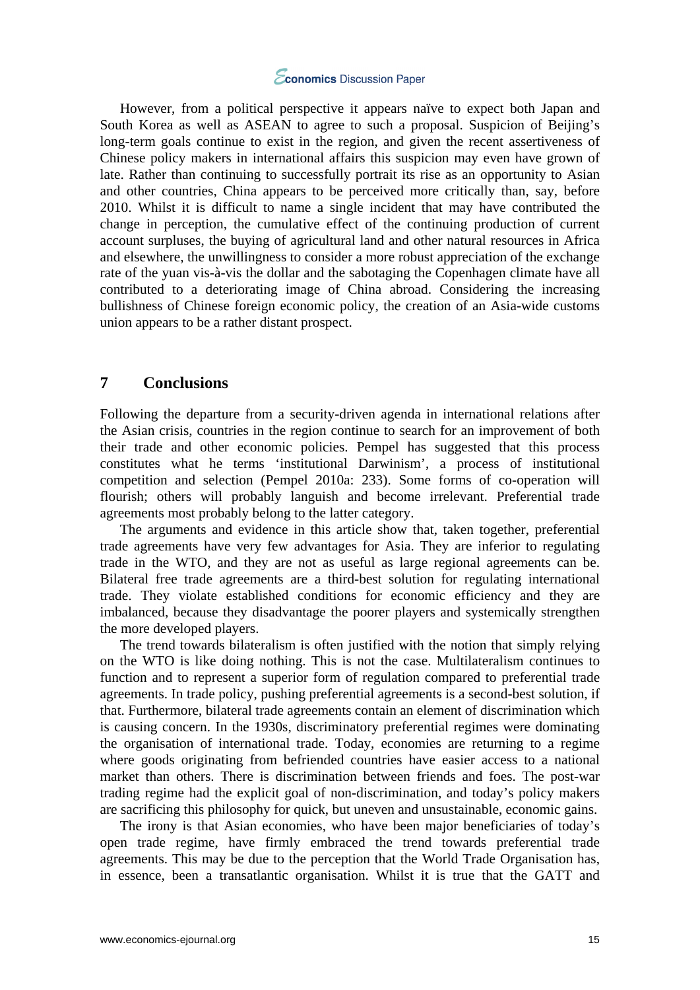

However, from a political perspective it appears naïve to expect both Japan and South Korea as well as ASEAN to agree to such a proposal. Suspicion of Beijing's long-term goals continue to exist in the region, and given the recent assertiveness of Chinese policy makers in international affairs this suspicion may even have grown of late. Rather than continuing to successfully portrait its rise as an opportunity to Asian and other countries, China appears to be perceived more critically than, say, before 2010. Whilst it is difficult to name a single incident that may have contributed the change in perception, the cumulative effect of the continuing production of current account surpluses, the buying of agricultural land and other natural resources in Africa and elsewhere, the unwillingness to consider a more robust appreciation of the exchange rate of the yuan vis-à-vis the dollar and the sabotaging the Copenhagen climate have all contributed to a deteriorating image of China abroad. Considering the increasing bullishness of Chinese foreign economic policy, the creation of an Asia-wide customs union appears to be a rather distant prospect.

#### **7 Conclusions**

Following the departure from a security-driven agenda in international relations after the Asian crisis, countries in the region continue to search for an improvement of both their trade and other economic policies. Pempel has suggested that this process constitutes what he terms 'institutional Darwinism', a process of institutional competition and selection (Pempel 2010a: 233). Some forms of co-operation will flourish; others will probably languish and become irrelevant. Preferential trade agreements most probably belong to the latter category.

The arguments and evidence in this article show that, taken together, preferential trade agreements have very few advantages for Asia. They are inferior to regulating trade in the WTO, and they are not as useful as large regional agreements can be. Bilateral free trade agreements are a third-best solution for regulating international trade. They violate established conditions for economic efficiency and they are imbalanced, because they disadvantage the poorer players and systemically strengthen the more developed players.

The trend towards bilateralism is often justified with the notion that simply relying on the WTO is like doing nothing. This is not the case. Multilateralism continues to function and to represent a superior form of regulation compared to preferential trade agreements. In trade policy, pushing preferential agreements is a second-best solution, if that. Furthermore, bilateral trade agreements contain an element of discrimination which is causing concern. In the 1930s, discriminatory preferential regimes were dominating the organisation of international trade. Today, economies are returning to a regime where goods originating from befriended countries have easier access to a national market than others. There is discrimination between friends and foes. The post-war trading regime had the explicit goal of non-discrimination, and today's policy makers are sacrificing this philosophy for quick, but uneven and unsustainable, economic gains.

The irony is that Asian economies, who have been major beneficiaries of today's open trade regime, have firmly embraced the trend towards preferential trade agreements. This may be due to the perception that the World Trade Organisation has, in essence, been a transatlantic organisation. Whilst it is true that the GATT and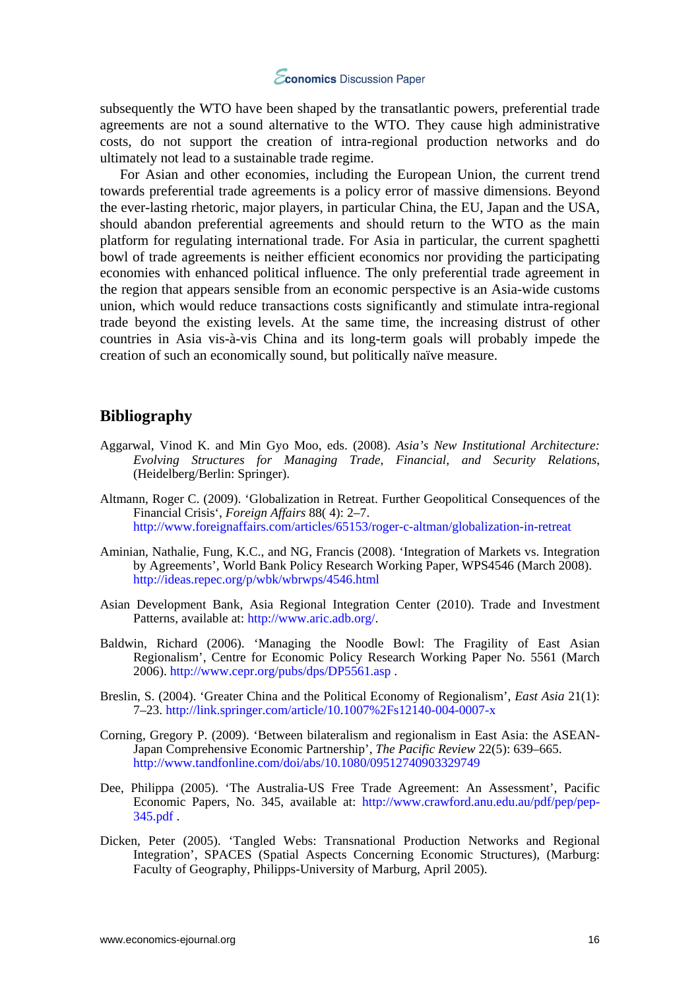

subsequently the WTO have been shaped by the transatlantic powers, preferential trade agreements are not a sound alternative to the WTO. They cause high administrative costs, do not support the creation of intra-regional production networks and do ultimately not lead to a sustainable trade regime.

For Asian and other economies, including the European Union, the current trend towards preferential trade agreements is a policy error of massive dimensions. Beyond the ever-lasting rhetoric, major players, in particular China, the EU, Japan and the USA, should abandon preferential agreements and should return to the WTO as the main platform for regulating international trade. For Asia in particular, the current spaghetti bowl of trade agreements is neither efficient economics nor providing the participating economies with enhanced political influence. The only preferential trade agreement in the region that appears sensible from an economic perspective is an Asia-wide customs union, which would reduce transactions costs significantly and stimulate intra-regional trade beyond the existing levels. At the same time, the increasing distrust of other countries in Asia vis-à-vis China and its long-term goals will probably impede the creation of such an economically sound, but politically naïve measure.

#### **Bibliography**

- Aggarwal, Vinod K. and Min Gyo Moo, eds. (2008). *Asia's New Institutional Architecture: Evolving Structures for Managing Trade, Financial, and Security Relations*, (Heidelberg/Berlin: Springer).
- Altmann, Roger C. (2009). 'Globalization in Retreat. Further Geopolitical Consequences of the Financial Crisis', *Foreign Affairs* 88( 4): 2–7. <http://www.foreignaffairs.com/articles/65153/roger-c-altman/globalization-in-retreat>
- Aminian, Nathalie, Fung, K.C., and NG, Francis (2008). 'Integration of Markets vs. Integration by Agreements', World Bank Policy Research Working Paper, WPS4546 (March 2008). <http://ideas.repec.org/p/wbk/wbrwps/4546.html>
- Asian Development Bank, Asia Regional Integration Center (2010). Trade and Investment Patterns, available at: [http://www.aric.adb.org/.](http://www.aric.adb.org/)
- Baldwin, Richard (2006). 'Managing the Noodle Bowl: The Fragility of East Asian Regionalism', Centre for Economic Policy Research Working Paper No. 5561 (March 2006).<http://www.cepr.org/pubs/dps/DP5561.asp> .
- Breslin, S. (2004). 'Greater China and the Political Economy of Regionalism', *East Asia* 21(1): 7–23.<http://link.springer.com/article/10.1007%2Fs12140-004-0007-x>
- Corning, Gregory P. (2009). 'Between bilateralism and regionalism in East Asia: the ASEAN-Japan Comprehensive Economic Partnership', *The Pacific Review* 22(5): 639–665. <http://www.tandfonline.com/doi/abs/10.1080/09512740903329749>
- Dee, Philippa (2005). 'The Australia-US Free Trade Agreement: An Assessment', Pacific Economic Papers, No. 345, available at: [http://www.crawford.anu.edu.au/pdf/pep/pep-](http://www.crawford.anu.edu.au/pdf/pep/pep-345.pdf)[345.pdf](http://www.crawford.anu.edu.au/pdf/pep/pep-345.pdf) .
- Dicken, Peter (2005). 'Tangled Webs: Transnational Production Networks and Regional Integration', SPACES (Spatial Aspects Concerning Economic Structures), (Marburg: Faculty of Geography, Philipps-University of Marburg, April 2005).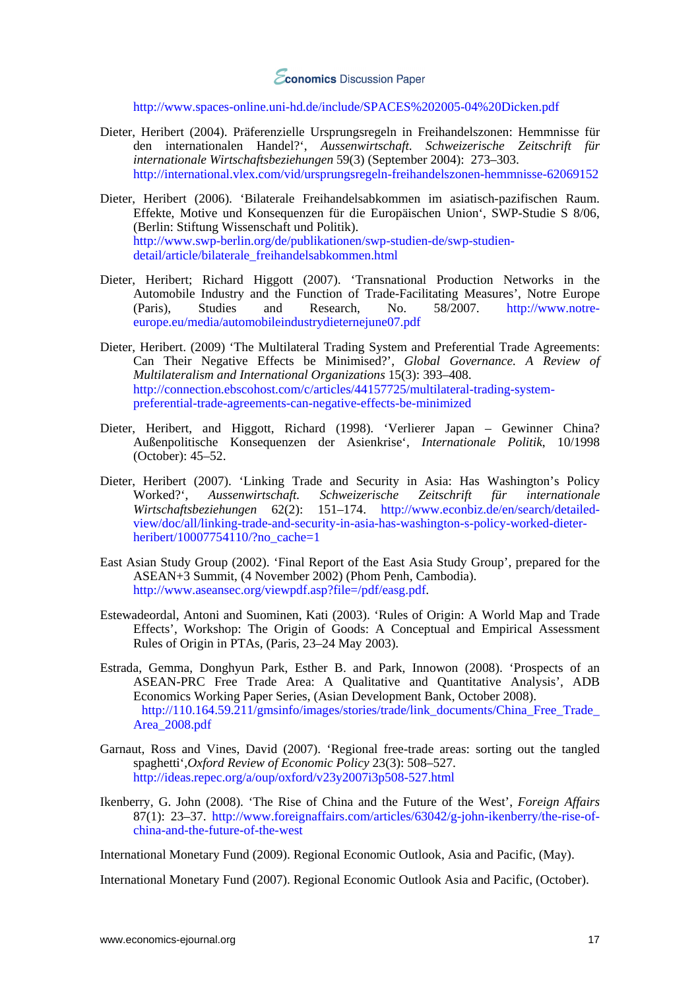

<http://www.spaces-online.uni-hd.de/include/SPACES%202005-04%20Dicken.pdf>

- Dieter, Heribert (2004). Präferenzielle Ursprungsregeln in Freihandelszonen: Hemmnisse für den internationalen Handel?', *Aussenwirtschaft*. *Schweizerische Zeitschrift für internationale Wirtschaftsbeziehungen* 59(3) (September 2004): 273–303. <http://international.vlex.com/vid/ursprungsregeln-freihandelszonen-hemmnisse-62069152>
- Dieter, Heribert (2006). 'Bilaterale Freihandelsabkommen im asiatisch-pazifischen Raum. Effekte, Motive und Konsequenzen für die Europäischen Union', SWP-Studie S 8/06, (Berlin: Stiftung Wissenschaft und Politik). [http://www.swp-berlin.org/de/publikationen/swp-studien-de/swp-studien](http://www.swp-berlin.org/de/publikationen/swp-studien-de/swp-studien-detail/article/bilaterale_freihandelsabkommen.html)[detail/article/bilaterale\\_freihandelsabkommen.html](http://www.swp-berlin.org/de/publikationen/swp-studien-de/swp-studien-detail/article/bilaterale_freihandelsabkommen.html)
- Dieter, Heribert; Richard Higgott (2007). 'Transnational Production Networks in the Automobile Industry and the Function of Trade-Facilitating Measures', Notre Europe (Paris), Studies and Research, No. 58/2007. [http://www.notre](http://www.notre-europe.eu/media/automobileindustrydieternejune07.pdf)[europe.eu/media/automobileindustrydieternejune07.pdf](http://www.notre-europe.eu/media/automobileindustrydieternejune07.pdf)
- Dieter, Heribert. (2009) 'The Multilateral Trading System and Preferential Trade Agreements: Can Their Negative Effects be Minimised?', *Global Governance. A Review of Multilateralism and International Organizations* 15(3): 393–408. [http://connection.ebscohost.com/c/articles/44157725/multilateral-trading-system](http://connection.ebscohost.com/c/articles/44157725/multilateral-trading-system-preferential-trade-agreements-can-negative-effects-be-minimized)[preferential-trade-agreements-can-negative-effects-be-minimized](http://connection.ebscohost.com/c/articles/44157725/multilateral-trading-system-preferential-trade-agreements-can-negative-effects-be-minimized)
- Dieter, Heribert, and Higgott, Richard (1998). 'Verlierer Japan Gewinner China? Außenpolitische Konsequenzen der Asienkrise', *Internationale Politik*, 10/1998 (October): 45–52.
- Dieter, Heribert (2007). 'Linking Trade and Security in Asia: Has Washington's Policy<br>Worked?', Aussenwirtschaft. Schweizerische Zeitschrift für internationale Worked?', *Aussenwirtschaft. Schweizerische Zeitschrift für internationale Wirtschaftsbeziehungen* 62(2): 151–174. [http://www.econbiz.de/en/search/detailed](http://www.econbiz.de/en/search/detailed-view/doc/all/linking-trade-and-security-in-asia-has-washington-s-policy-worked-dieter-heribert/10007754110/?no_cache=1)[view/doc/all/linking-trade-and-security-in-asia-has-washington-s-policy-worked-dieter](http://www.econbiz.de/en/search/detailed-view/doc/all/linking-trade-and-security-in-asia-has-washington-s-policy-worked-dieter-heribert/10007754110/?no_cache=1)[heribert/10007754110/?no\\_cache=1](http://www.econbiz.de/en/search/detailed-view/doc/all/linking-trade-and-security-in-asia-has-washington-s-policy-worked-dieter-heribert/10007754110/?no_cache=1)
- East Asian Study Group (2002). 'Final Report of the East Asia Study Group', prepared for the ASEAN+3 Summit, (4 November 2002) (Phom Penh, Cambodia). [http://www.aseansec.org/viewpdf.asp?file=/pdf/easg.pdf.](http://www.aseansec.org/viewpdf.asp?file=/pdf/easg.pdf)
- Estewadeordal, Antoni and Suominen, Kati (2003). 'Rules of Origin: A World Map and Trade Effects', Workshop: The Origin of Goods: A Conceptual and Empirical Assessment Rules of Origin in PTAs, (Paris, 23–24 May 2003).
- Estrada, Gemma, Donghyun Park, Esther B. and Park, Innowon (2008). 'Prospects of an ASEAN-PRC Free Trade Area: A Qualitative and Quantitative Analysis', ADB Economics Working Paper Series, (Asian Development Bank, October 2008). [http://110.164.59.211/gmsinfo/images/stories/trade/link\\_documents/China\\_Free\\_Trade\\_](http://110.164.59.211/gmsinfo/images/stories/trade/link_documents/China_Free_Trade_Area_2008.pdf) [Area\\_2008.pdf](http://110.164.59.211/gmsinfo/images/stories/trade/link_documents/China_Free_Trade_Area_2008.pdf)
- Garnaut, Ross and Vines, David (2007). 'Regional free-trade areas: sorting out the tangled spaghetti',*Oxford Review of Economic Policy* 23(3): 508–527. <http://ideas.repec.org/a/oup/oxford/v23y2007i3p508-527.html>
- Ikenberry, G. John (2008). 'The Rise of China and the Future of the West', *Foreign Affairs* 87(1): 23–37. [http://www.foreignaffairs.com/articles/63042/g-john-ikenberry/the-rise-of](http://www.foreignaffairs.com/articles/63042/g-john-ikenberry/the-rise-of-china-and-the-future-of-the-west)[china-and-the-future-of-the-west](http://www.foreignaffairs.com/articles/63042/g-john-ikenberry/the-rise-of-china-and-the-future-of-the-west)

International Monetary Fund (2009). Regional Economic Outlook, Asia and Pacific, (May).

International Monetary Fund (2007). Regional Economic Outlook Asia and Pacific, (October).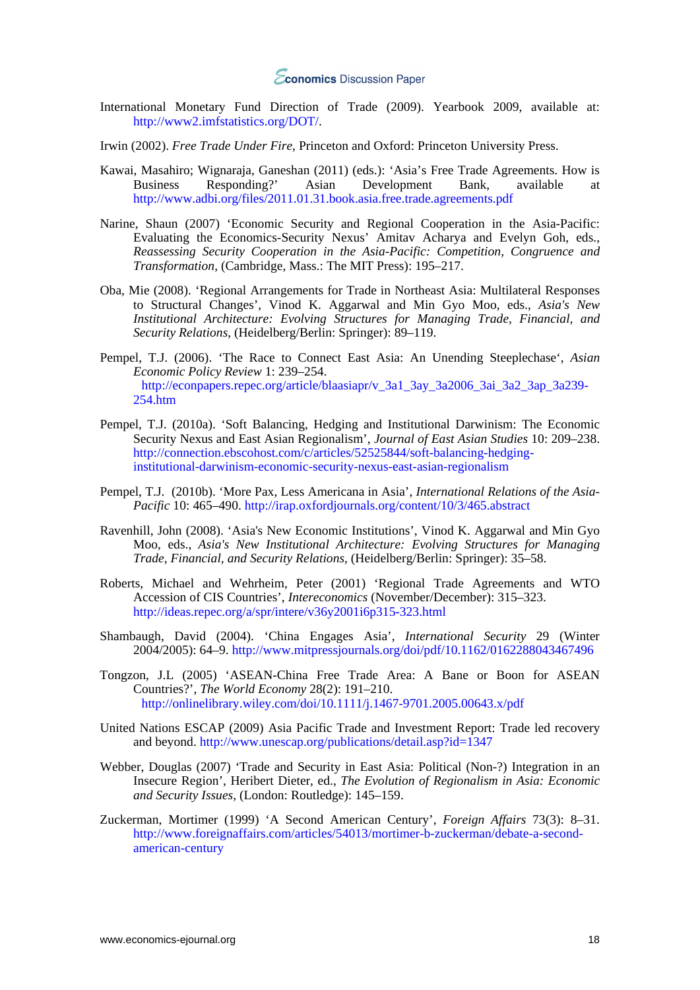- International Monetary Fund Direction of Trade (2009). Yearbook 2009, available at: [http://www2.imfstatistics.org/DOT/.](http://www2.imfstatistics.org/DOT/)
- Irwin (2002). *Free Trade Under Fire*, Princeton and Oxford: Princeton University Press.
- Kawai, Masahiro; Wignaraja, Ganeshan (2011) (eds.): 'Asia's Free Trade Agreements. How is Business Responding?' Asian Development Bank, available at <http://www.adbi.org/files/2011.01.31.book.asia.free.trade.agreements.pdf>
- Narine, Shaun (2007) 'Economic Security and Regional Cooperation in the Asia-Pacific: Evaluating the Economics-Security Nexus' Amitav Acharya and Evelyn Goh, eds., *Reassessing Security Cooperation in the Asia-Pacific: Competition, Congruence and Transformation*, (Cambridge, Mass.: The MIT Press): 195–217.
- Oba, Mie (2008). 'Regional Arrangements for Trade in Northeast Asia: Multilateral Responses to Structural Changes', Vinod K. Aggarwal and Min Gyo Moo, eds., *Asia's New Institutional Architecture: Evolving Structures for Managing Trade, Financial, and Security Relations*, (Heidelberg/Berlin: Springer): 89–119.
- Pempel, T.J. (2006). 'The Race to Connect East Asia: An Unending Steeplechase', *Asian Economic Policy Review* 1: 239–254. [http://econpapers.repec.org/article/blaasiapr/v\\_3a1\\_3ay\\_3a2006\\_3ai\\_3a2\\_3ap\\_3a239-](http://econpapers.repec.org/article/blaasiapr/v_3a1_3ay_3a2006_3ai_3a2_3ap_3a239-254.htm)  $254.$ htm
- Pempel, T.J. (2010a). 'Soft Balancing, Hedging and Institutional Darwinism: The Economic Security Nexus and East Asian Regionalism', *Journal of East Asian Studies* 10: 209–238. [http://connection.ebscohost.com/c/articles/52525844/soft-balancing-hedging](http://connection.ebscohost.com/c/articles/52525844/soft-balancing-hedging-institutional-darwinism-economic-security-nexus-east-asian-regionalism)[institutional-darwinism-economic-security-nexus-east-asian-regionalism](http://connection.ebscohost.com/c/articles/52525844/soft-balancing-hedging-institutional-darwinism-economic-security-nexus-east-asian-regionalism)
- Pempel, T.J. (2010b). 'More Pax, Less Americana in Asia', *International Relations of the Asia-Pacific* 10: 465–490.<http://irap.oxfordjournals.org/content/10/3/465.abstract>
- Ravenhill, John (2008). 'Asia's New Economic Institutions', Vinod K. Aggarwal and Min Gyo Moo, eds., *Asia's New Institutional Architecture: Evolving Structures for Managing Trade, Financial, and Security Relations*, (Heidelberg/Berlin: Springer): 35–58.
- Roberts, Michael and Wehrheim, Peter (2001) 'Regional Trade Agreements and WTO Accession of CIS Countries', *Intereconomics* (November/December): 315–323. <http://ideas.repec.org/a/spr/intere/v36y2001i6p315-323.html>
- Shambaugh, David (2004). 'China Engages Asia', *International Security* 29 (Winter 2004/2005): 64–9. <http://www.mitpressjournals.org/doi/pdf/10.1162/0162288043467496>
- Tongzon, J.L (2005) 'ASEAN-China Free Trade Area: A Bane or Boon for ASEAN Countries?', *The World Economy* 28(2): 191–210. <http://onlinelibrary.wiley.com/doi/10.1111/j.1467-9701.2005.00643.x/pdf>
- United Nations ESCAP (2009) Asia Pacific Trade and Investment Report: Trade led recovery and beyond.<http://www.unescap.org/publications/detail.asp?id=1347>
- Webber, Douglas (2007) 'Trade and Security in East Asia: Political (Non-?) Integration in an Insecure Region', Heribert Dieter, ed., *The Evolution of Regionalism in Asia: Economic and Security Issues*, (London: Routledge): 145–159.
- Zuckerman, Mortimer (1999) 'A Second American Century', *Foreign Affairs* 73(3): 8–31. [http://www.foreignaffairs.com/articles/54013/mortimer-b-zuckerman/debate-a-second](http://www.foreignaffairs.com/articles/54013/mortimer-b-zuckerman/debate-a-second-american-century)[american-century](http://www.foreignaffairs.com/articles/54013/mortimer-b-zuckerman/debate-a-second-american-century)